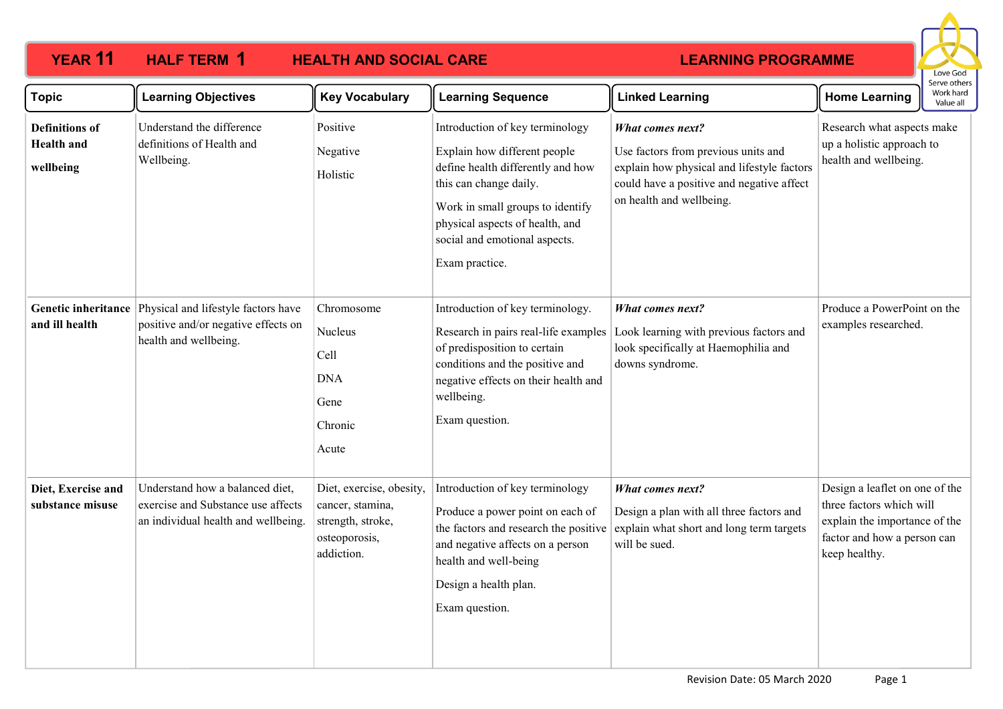### **YEAR 11 HALF TERM 1 HEALTH AND SOCIAL CARE HALF TERM 1**



| Topic                                                   | <b>Learning Objectives</b>                                                                                   | <b>Key Vocabulary</b>                                                                            | <b>Learning Sequence</b>                                                                                                                                                                                                                                 | <b>Linked Learning</b>                                                                                                                                                                | <b>Home Learning</b>                                                                                                                        | Work hard<br>Value all |
|---------------------------------------------------------|--------------------------------------------------------------------------------------------------------------|--------------------------------------------------------------------------------------------------|----------------------------------------------------------------------------------------------------------------------------------------------------------------------------------------------------------------------------------------------------------|---------------------------------------------------------------------------------------------------------------------------------------------------------------------------------------|---------------------------------------------------------------------------------------------------------------------------------------------|------------------------|
| <b>Definitions</b> of<br><b>Health</b> and<br>wellbeing | Understand the difference<br>definitions of Health and<br>Wellbeing.                                         | Positive<br>Negative<br>Holistic                                                                 | Introduction of key terminology<br>Explain how different people<br>define health differently and how<br>this can change daily.<br>Work in small groups to identify<br>physical aspects of health, and<br>social and emotional aspects.<br>Exam practice. | <b>What comes next?</b><br>Use factors from previous units and<br>explain how physical and lifestyle factors<br>could have a positive and negative affect<br>on health and wellbeing. | Research what aspects make<br>up a holistic approach to<br>health and wellbeing.                                                            |                        |
| <b>Genetic inheritance</b><br>and ill health            | Physical and lifestyle factors have<br>positive and/or negative effects on<br>health and wellbeing.          | Chromosome<br>Nucleus<br>Cell<br><b>DNA</b><br>Gene<br>Chronic<br>Acute                          | Introduction of key terminology.<br>Research in pairs real-life examples<br>of predisposition to certain<br>conditions and the positive and<br>negative effects on their health and<br>wellbeing.<br>Exam question.                                      | <b>What comes next?</b><br>Look learning with previous factors and<br>look specifically at Haemophilia and<br>downs syndrome.                                                         | Produce a PowerPoint on the<br>examples researched.                                                                                         |                        |
| Diet, Exercise and<br>substance misuse                  | Understand how a balanced diet,<br>exercise and Substance use affects<br>an individual health and wellbeing. | Diet, exercise, obesity,<br>cancer, stamina,<br>strength, stroke,<br>osteoporosis,<br>addiction. | Introduction of key terminology<br>Produce a power point on each of<br>the factors and research the positive<br>and negative affects on a person<br>health and well-being<br>Design a health plan.<br>Exam question.                                     | <b>What comes next?</b><br>Design a plan with all three factors and<br>explain what short and long term targets<br>will be sued.                                                      | Design a leaflet on one of the<br>three factors which will<br>explain the importance of the<br>factor and how a person can<br>keep healthy. |                        |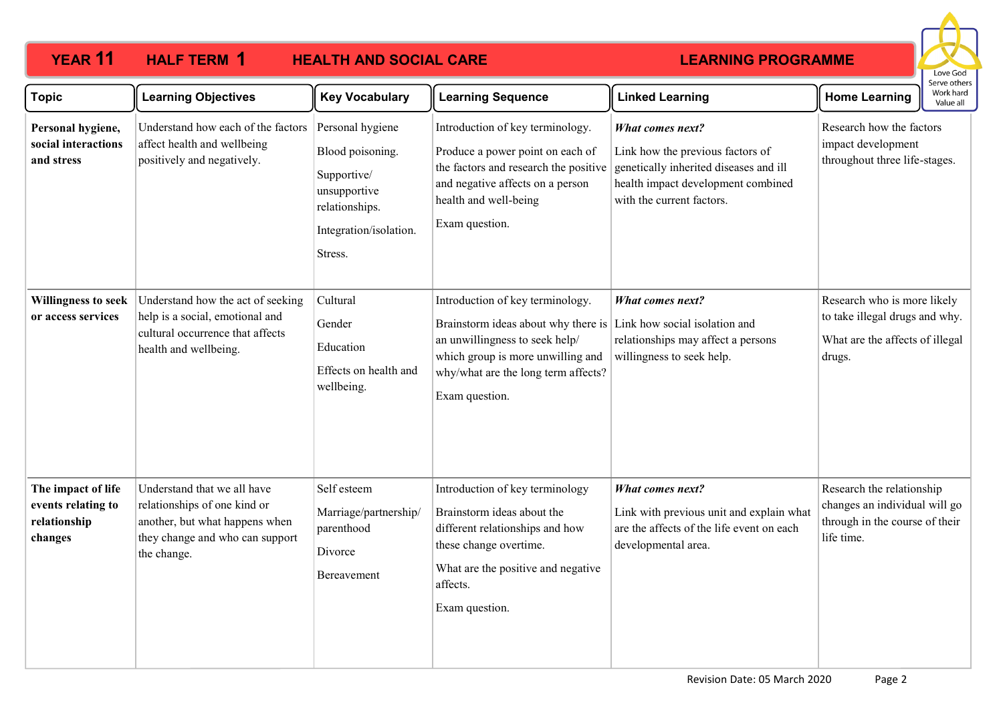#### **YEAR 11 HALF TERM HEALTH AND SOCIAL CARE HALF TERM 1 LEARNING PROGRAMME** Love God Serve others Topic **Rearning Objectives Learning Sequence Really Sequence Really Sequence Linked Learning Home Learning** Work hard Value all Understand how each of the factors Personal hygiene Introduction of key terminology. Research how the factors **Personal hygiene,**  *What comes next?* **social interactions**  affect health and wellbeing impact development Blood poisoning. Produce a power point on each of Link how the previous factors of **and stress** positively and negatively. throughout three life-stages. the factors and research the positive genetically inherited diseases and ill Supportive/ and negative affects on a person health impact development combined unsupportive health and well-being with the current factors. relationships. Exam question. Integration/isolation. Stress. **Willingness to seek**  Understand how the act of seeking Cultural Introduction of key terminology. *What comes next?* Research who is more likely help is a social, emotional and to take illegal drugs and why. **or access services**  Gender Brainstorm ideas about why there is Link how social isolation and cultural occurrence that affects relationships may affect a persons What are the affects of illegal an unwillingness to seek help/ Education health and wellbeing. which group is more unwilling and willingness to seek help. drugs. Effects on health and why/what are the long term affects? wellbeing. Exam question. **The impact of life**  Understand that we all have Self esteem Introduction of key terminology *What comes next?* Research the relationship relationships of one kind or changes an individual will go **events relating to**  Marriage/partnership/ Brainstorm ideas about the Link with previous unit and explain what **relationship**  another, but what happens when through in the course of their parenthood different relationships and how are the affects of the life event on each they change and who can support life time. **changes** developmental area. these change overtime. Divorce the change. What are the positive and negative Bereavement affects. Exam question.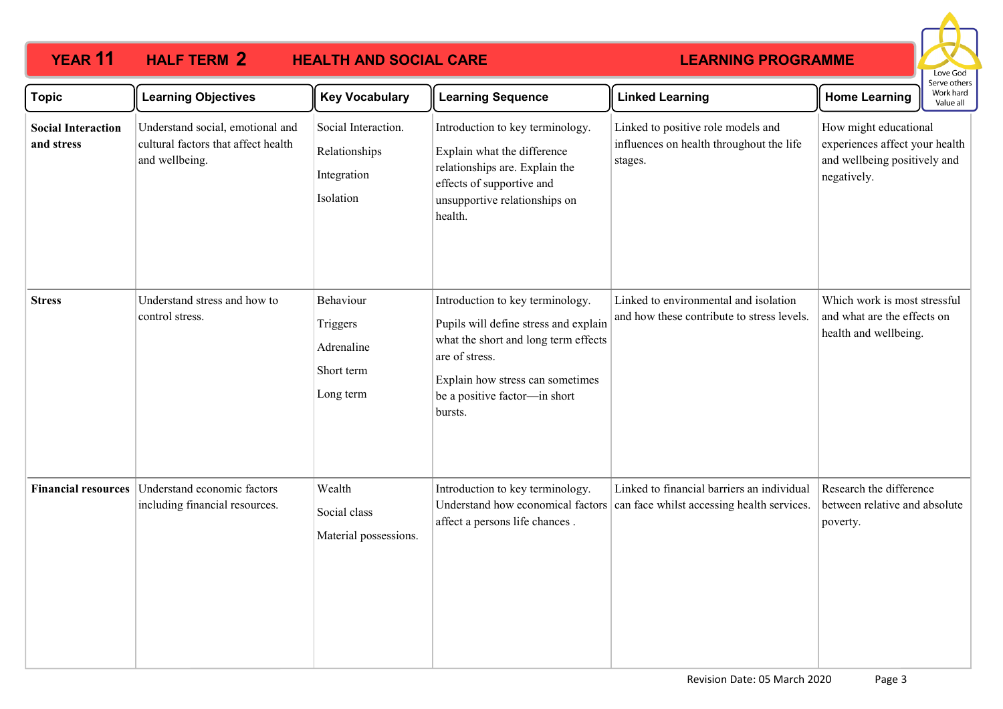### **YEAR 11 HALF TERM 2 HEALTH AND SOCIAL CARE HALF TERM 2**



| <b>Topic</b>                            | <b>Learning Objectives</b>                                                                | <b>Key Vocabulary</b>                                            | <b>Learning Sequence</b>                                                                                                                                                                                            | <b>Linked Learning</b>                                                                    | <b>Home Learning</b>                                                                                   | Work hard<br>Value all |
|-----------------------------------------|-------------------------------------------------------------------------------------------|------------------------------------------------------------------|---------------------------------------------------------------------------------------------------------------------------------------------------------------------------------------------------------------------|-------------------------------------------------------------------------------------------|--------------------------------------------------------------------------------------------------------|------------------------|
| <b>Social Interaction</b><br>and stress | Understand social, emotional and<br>cultural factors that affect health<br>and wellbeing. | Social Interaction.<br>Relationships<br>Integration<br>Isolation | Introduction to key terminology.<br>Explain what the difference<br>relationships are. Explain the<br>effects of supportive and<br>unsupportive relationships on<br>health.                                          | Linked to positive role models and<br>influences on health throughout the life<br>stages. | How might educational<br>experiences affect your health<br>and wellbeing positively and<br>negatively. |                        |
| <b>Stress</b>                           | Understand stress and how to<br>control stress.                                           | Behaviour<br>Triggers<br>Adrenaline<br>Short term<br>Long term   | Introduction to key terminology.<br>Pupils will define stress and explain<br>what the short and long term effects<br>are of stress.<br>Explain how stress can sometimes<br>be a positive factor-in short<br>bursts. | Linked to environmental and isolation<br>and how these contribute to stress levels.       | Which work is most stressful<br>and what are the effects on<br>health and wellbeing.                   |                        |
| <b>Financial resources</b>              | Understand economic factors<br>including financial resources.                             | Wealth<br>Social class<br>Material possessions.                  | Introduction to key terminology.<br>Understand how economical factors<br>affect a persons life chances.                                                                                                             | Linked to financial barriers an individual<br>can face whilst accessing health services.  | Research the difference<br>between relative and absolute<br>poverty.                                   |                        |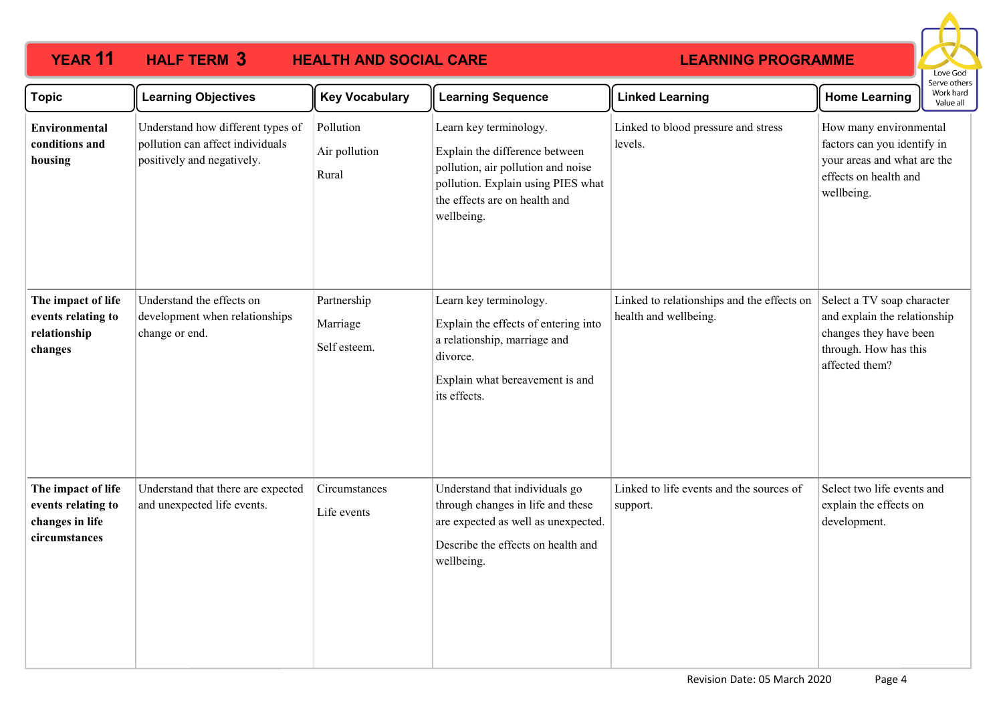### **YEAR 11 HALF TERM 3** HEALTH AND SOCIAL CARE **HALF TERM 3**



| <b>Topic</b>                                                                 | <b>Learning Objectives</b>                                                                          | <b>Key Vocabulary</b>                   | <b>Learning Sequence</b>                                                                                                                                                            | <b>Linked Learning</b>                                              | <b>Home Learning</b>                                                                                                            | יו איר היו היו<br>Work hard<br>Value all |
|------------------------------------------------------------------------------|-----------------------------------------------------------------------------------------------------|-----------------------------------------|-------------------------------------------------------------------------------------------------------------------------------------------------------------------------------------|---------------------------------------------------------------------|---------------------------------------------------------------------------------------------------------------------------------|------------------------------------------|
| <b>Environmental</b><br>conditions and<br>housing                            | Understand how different types of<br>pollution can affect individuals<br>positively and negatively. | Pollution<br>Air pollution<br>Rural     | Learn key terminology.<br>Explain the difference between<br>pollution, air pollution and noise<br>pollution. Explain using PIES what<br>the effects are on health and<br>wellbeing. | Linked to blood pressure and stress<br>levels.                      | How many environmental<br>factors can you identify in<br>your areas and what are the<br>effects on health and<br>wellbeing.     |                                          |
| The impact of life<br>events relating to<br>relationship<br>changes          | Understand the effects on<br>development when relationships<br>change or end.                       | Partnership<br>Marriage<br>Self esteem. | Learn key terminology.<br>Explain the effects of entering into<br>a relationship, marriage and<br>divorce.<br>Explain what bereavement is and<br>its effects.                       | Linked to relationships and the effects on<br>health and wellbeing. | Select a TV soap character<br>and explain the relationship<br>changes they have been<br>through. How has this<br>affected them? |                                          |
| The impact of life<br>events relating to<br>changes in life<br>circumstances | Understand that there are expected<br>and unexpected life events.                                   | Circumstances<br>Life events            | Understand that individuals go<br>through changes in life and these<br>are expected as well as unexpected.<br>Describe the effects on health and<br>wellbeing.                      | Linked to life events and the sources of<br>support.                | Select two life events and<br>explain the effects on<br>development.                                                            |                                          |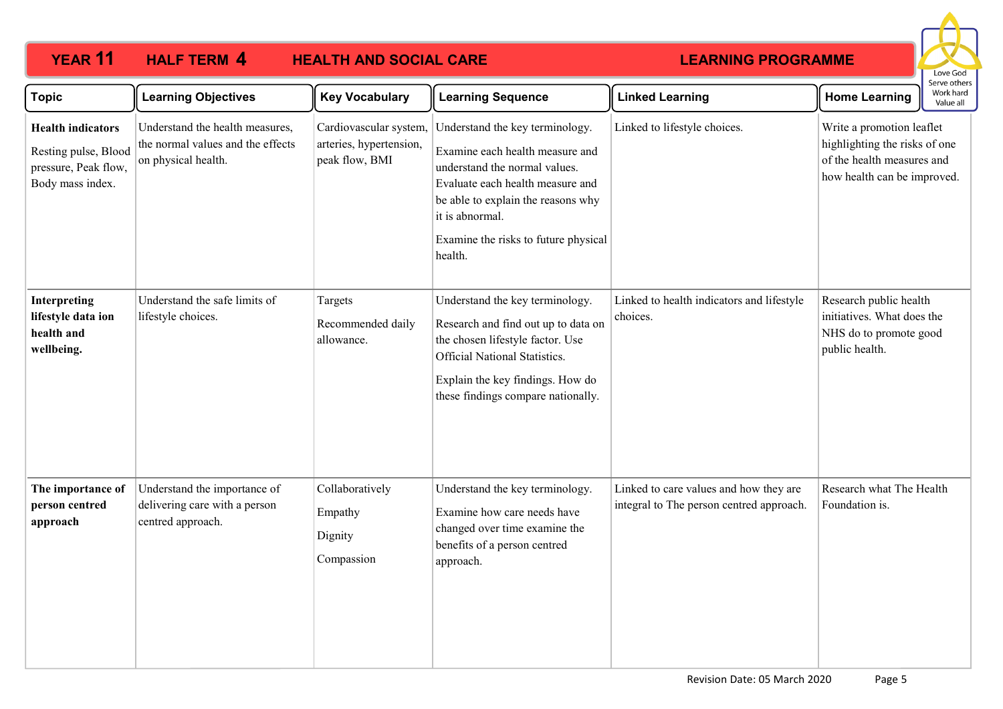### **YEAR 11 HALF TERM HEALTH AND SOCIAL CARE HALF TERM 4**



| <b>Topic</b>                                                                                 | <b>Learning Objectives</b>                                                                  | <b>Key Vocabulary</b>                                               | <b>Learning Sequence</b>                                                                                                                                                                                                                            | <b>Linked Learning</b>                                                             | Work hard<br><b>Home Learning</b><br>Value all                                                                          |
|----------------------------------------------------------------------------------------------|---------------------------------------------------------------------------------------------|---------------------------------------------------------------------|-----------------------------------------------------------------------------------------------------------------------------------------------------------------------------------------------------------------------------------------------------|------------------------------------------------------------------------------------|-------------------------------------------------------------------------------------------------------------------------|
| <b>Health indicators</b><br>Resting pulse, Blood<br>pressure, Peak flow,<br>Body mass index. | Understand the health measures,<br>the normal values and the effects<br>on physical health. | Cardiovascular system,<br>arteries, hypertension,<br>peak flow, BMI | Understand the key terminology.<br>Examine each health measure and<br>understand the normal values.<br>Evaluate each health measure and<br>be able to explain the reasons why<br>it is abnormal.<br>Examine the risks to future physical<br>health. | Linked to lifestyle choices.                                                       | Write a promotion leaflet<br>highlighting the risks of one<br>of the health measures and<br>how health can be improved. |
| Interpreting<br>lifestyle data ion<br>health and<br>wellbeing.                               | Understand the safe limits of<br>lifestyle choices.                                         | Targets<br>Recommended daily<br>allowance.                          | Understand the key terminology.<br>Research and find out up to data on<br>the chosen lifestyle factor. Use<br>Official National Statistics.<br>Explain the key findings. How do<br>these findings compare nationally.                               | Linked to health indicators and lifestyle<br>choices.                              | Research public health<br>initiatives. What does the<br>NHS do to promote good<br>public health.                        |
| The importance of<br>person centred<br>approach                                              | Understand the importance of<br>delivering care with a person<br>centred approach.          | Collaboratively<br>Empathy<br>Dignity<br>Compassion                 | Understand the key terminology.<br>Examine how care needs have<br>changed over time examine the<br>benefits of a person centred<br>approach.                                                                                                        | Linked to care values and how they are<br>integral to The person centred approach. | Research what The Health<br>Foundation is.                                                                              |